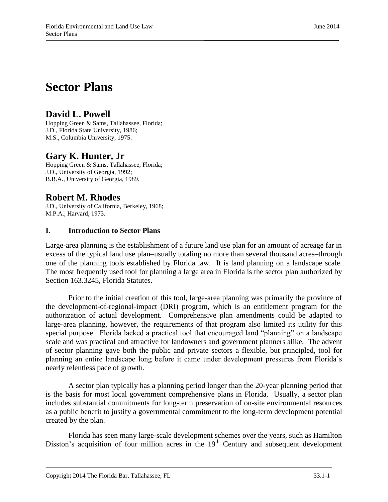# **Sector Plans**

# **David L. Powell**

Hopping Green & Sams, Tallahassee, Florida; J.D., Florida State University, 1986; M.S., Columbia University, 1975.

# **Gary K. Hunter, Jr**

Hopping Green & Sams, Tallahassee, Florida; J.D., University of Georgia, 1992; B.B.A., University of Georgia, 1989.

# **Robert M. Rhodes**

J.D., University of California, Berkeley, 1968; M.P.A., Harvard, 1973.

# **I. Introduction to Sector Plans**

Large-area planning is the establishment of a future land use plan for an amount of acreage far in excess of the typical land use plan–usually totaling no more than several thousand acres–through one of the planning tools established by Florida law. It is land planning on a landscape scale. The most frequently used tool for planning a large area in Florida is the sector plan authorized by Section 163.3245, Florida Statutes.

Prior to the initial creation of this tool, large-area planning was primarily the province of the development-of-regional-impact (DRI) program, which is an entitlement program for the authorization of actual development. Comprehensive plan amendments could be adapted to large-area planning, however, the requirements of that program also limited its utility for this special purpose. Florida lacked a practical tool that encouraged land "planning" on a landscape scale and was practical and attractive for landowners and government planners alike. The advent of sector planning gave both the public and private sectors a flexible, but principled, tool for planning an entire landscape long before it came under development pressures from Florida's nearly relentless pace of growth.

A sector plan typically has a planning period longer than the 20-year planning period that is the basis for most local government comprehensive plans in Florida. Usually, a sector plan includes substantial commitments for long-term preservation of on-site environmental resources as a public benefit to justify a governmental commitment to the long-term development potential created by the plan.

Florida has seen many large-scale development schemes over the years, such as Hamilton Disston's acquisition of four million acres in the  $19<sup>th</sup>$  Century and subsequent development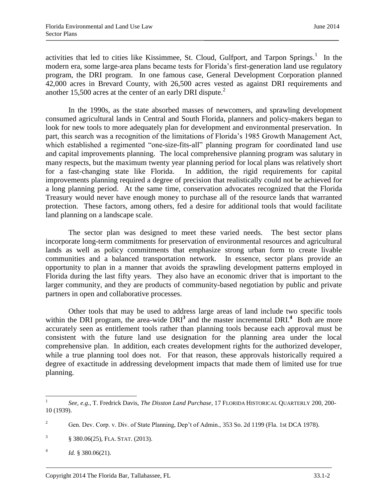activities that led to cities like Kissimmee, St. Cloud, Gulfport, and Tarpon Springs. $<sup>1</sup>$  In the</sup> modern era, some large-area plans became tests for Florida's first-generation land use regulatory program, the DRI program. In one famous case, General Development Corporation planned 42,000 acres in Brevard County, with 26,500 acres vested as against DRI requirements and another 15,500 acres at the center of an early DRI dispute. $^{2}$ 

In the 1990s, as the state absorbed masses of newcomers, and sprawling development consumed agricultural lands in Central and South Florida, planners and policy-makers began to look for new tools to more adequately plan for development and environmental preservation. In part, this search was a recognition of the limitations of Florida's 1985 Growth Management Act, which established a regimented "one-size-fits-all" planning program for coordinated land use and capital improvements planning. The local comprehensive planning program was salutary in many respects, but the maximum twenty year planning period for local plans was relatively short for a fast-changing state like Florida. In addition, the rigid requirements for capital improvements planning required a degree of precision that realistically could not be achieved for a long planning period. At the same time, conservation advocates recognized that the Florida Treasury would never have enough money to purchase all of the resource lands that warranted protection. These factors, among others, fed a desire for additional tools that would facilitate land planning on a landscape scale.

The sector plan was designed to meet these varied needs. The best sector plans incorporate long-term commitments for preservation of environmental resources and agricultural lands as well as policy commitments that emphasize strong urban form to create livable communities and a balanced transportation network. In essence, sector plans provide an opportunity to plan in a manner that avoids the sprawling development patterns employed in Florida during the last fifty years. They also have an economic driver that is important to the larger community, and they are products of community-based negotiation by public and private partners in open and collaborative processes.

Other tools that may be used to address large areas of land include two specific tools within the DRI program, the area-wide DRI<sup>3</sup> and the master incremental DRI.<sup>4</sup> Both are more accurately seen as entitlement tools rather than planning tools because each approval must be consistent with the future land use designation for the planning area under the local comprehensive plan. In addition, each creates development rights for the authorized developer, while a true planning tool does not. For that reason, these approvals historically required a degree of exactitude in addressing development impacts that made them of limited use for true planning.

<sup>|&</sup>lt;br>|<br>| *See, e.g.,* T. Fredrick Davis, *The Disston Land Purchase*, 17 FLORIDA HISTORICAL QUARTERLY 200, 200- 10 (1939).

<sup>&</sup>lt;sup>2</sup> Gen. Dev. Corp. v. Div. of State Planning, Dep't of Admin., 353 So. 2d 1199 (Fla. 1st DCA 1978).

<sup>3</sup> § 380.06(25), FLA. STAT. (2013).

<sup>4</sup> *Id.* § 380.06(21).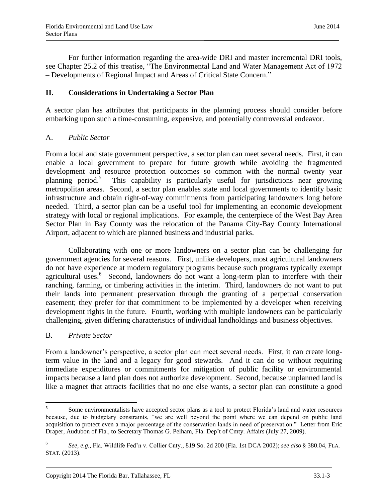For further information regarding the area-wide DRI and master incremental DRI tools, see Chapter 25.2 of this treatise, "The Environmental Land and Water Management Act of 1972 – Developments of Regional Impact and Areas of Critical State Concern."

#### **II. Considerations in Undertaking a Sector Plan**

A sector plan has attributes that participants in the planning process should consider before embarking upon such a time-consuming, expensive, and potentially controversial endeavor.

#### A. *Public Sector*

From a local and state government perspective, a sector plan can meet several needs. First, it can enable a local government to prepare for future growth while avoiding the fragmented development and resource protection outcomes so common with the normal twenty year planning period.<sup>5</sup> This capability is particularly useful for jurisdictions near growing metropolitan areas. Second, a sector plan enables state and local governments to identify basic infrastructure and obtain right-of-way commitments from participating landowners long before needed. Third, a sector plan can be a useful tool for implementing an economic development strategy with local or regional implications. For example, the centerpiece of the West Bay Area Sector Plan in Bay County was the relocation of the Panama City-Bay County International Airport, adjacent to which are planned business and industrial parks.

Collaborating with one or more landowners on a sector plan can be challenging for government agencies for several reasons. First, unlike developers, most agricultural landowners do not have experience at modern regulatory programs because such programs typically exempt agricultural uses.<sup>6</sup> Second, landowners do not want a long-term plan to interfere with their ranching, farming, or timbering activities in the interim. Third, landowners do not want to put their lands into permanent preservation through the granting of a perpetual conservation easement; they prefer for that commitment to be implemented by a developer when receiving development rights in the future. Fourth, working with multiple landowners can be particularly challenging, given differing characteristics of individual landholdings and business objectives.

#### B. *Private Sector*

From a landowner's perspective, a sector plan can meet several needs. First, it can create longterm value in the land and a legacy for good stewards. And it can do so without requiring immediate expenditures or commitments for mitigation of public facility or environmental impacts because a land plan does not authorize development. Second, because unplanned land is like a magnet that attracts facilities that no one else wants, a sector plan can constitute a good

 5 Some environmentalists have accepted sector plans as a tool to protect Florida's land and water resources because, due to budgetary constraints, "we are well beyond the point where we can depend on public land acquisition to protect even a major percentage of the conservation lands in need of preservation." Letter from Eric Draper, Audubon of Fla., to Secretary Thomas G. Pelham, Fla. Dep't of Cmty. Affairs (July 27, 2009).

<sup>6</sup> *See, e.g.*, Fla. Wildlife Fed'n v. Collier Cnty.*,* 819 So. 2d 200 (Fla. 1st DCA 2002); *see also* § 380.04, FLA. STAT. (2013).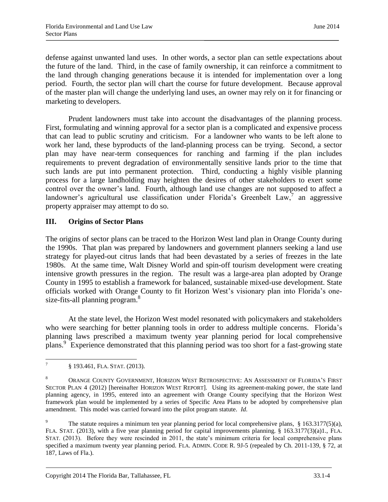defense against unwanted land uses. In other words, a sector plan can settle expectations about the future of the land. Third, in the case of family ownership, it can reinforce a commitment to the land through changing generations because it is intended for implementation over a long period. Fourth, the sector plan will chart the course for future development. Because approval of the master plan will change the underlying land uses, an owner may rely on it for financing or marketing to developers.

Prudent landowners must take into account the disadvantages of the planning process. First, formulating and winning approval for a sector plan is a complicated and expensive process that can lead to public scrutiny and criticism. For a landowner who wants to be left alone to work her land, these byproducts of the land-planning process can be trying. Second, a sector plan may have near-term consequences for ranching and farming if the plan includes requirements to prevent degradation of environmentally sensitive lands prior to the time that such lands are put into permanent protection. Third, conducting a highly visible planning process for a large landholding may heighten the desires of other stakeholders to exert some control over the owner's land. Fourth, although land use changes are not supposed to affect a landowner's agricultural use classification under Florida's Greenbelt Law,<sup>7</sup> an aggressive property appraiser may attempt to do so.

### **III. Origins of Sector Plans**

The origins of sector plans can be traced to the Horizon West land plan in Orange County during the 1990s. That plan was prepared by landowners and government planners seeking a land use strategy for played-out citrus lands that had been devastated by a series of freezes in the late 1980s. At the same time, Walt Disney World and spin-off tourism development were creating intensive growth pressures in the region. The result was a large-area plan adopted by Orange County in 1995 to establish a framework for balanced, sustainable mixed-use development. State officials worked with Orange County to fit Horizon West's visionary plan into Florida's onesize-fits-all planning program.<sup>8</sup>

At the state level, the Horizon West model resonated with policymakers and stakeholders who were searching for better planning tools in order to address multiple concerns. Florida's planning laws prescribed a maximum twenty year planning period for local comprehensive plans.<sup>9</sup> Experience demonstrated that this planning period was too short for a fast-growing state

<sup>⊤&</sup>lt;br>7 § 193.461, FLA. STAT. (2013).

<sup>8</sup> ORANGE COUNTY GOVERNMENT, HORIZON WEST RETROSPECTIVE: AN ASSESSMENT OF FLORIDA'S FIRST SECTOR PLAN 4 (2012) [hereinafter HORIZON WEST REPORT]. Using its agreement-making power, the state land planning agency, in 1995, entered into an agreement with Orange County specifying that the Horizon West framework plan would be implemented by a series of Specific Area Plans to be adopted by comprehensive plan amendment. This model was carried forward into the pilot program statute. *Id.*

The statute requires a minimum ten year planning period for local comprehensive plans, § 163.3177(5)(a), FLA. STAT. (2013), with a five year planning period for capital improvements planning. § 163.3177(3)(a)1., FLA. STAT. (2013). Before they were rescinded in 2011, the state's minimum criteria for local comprehensive plans specified a maximum twenty year planning period. FLA. ADMIN. CODE R. 9J-5 (repealed by Ch. 2011-139, § 72, at 187, Laws of Fla.).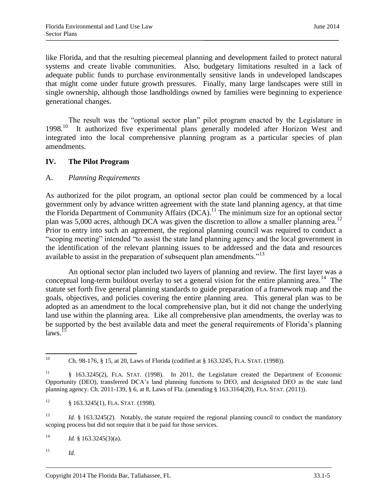like Florida, and that the resulting piecemeal planning and development failed to protect natural systems and create livable communities. Also, budgetary limitations resulted in a lack of adequate public funds to purchase environmentally sensitive lands in undeveloped landscapes that might come under future growth pressures. Finally, many large landscapes were still in single ownership, although those landholdings owned by families were beginning to experience generational changes.

The result was the "optional sector plan" pilot program enacted by the Legislature in<br>1998<sup>10</sup> It authorized five experimental plans generally modeled after Horizon West and It authorized five experimental plans generally modeled after Horizon West and integrated into the local comprehensive planning program as a particular species of plan amendments.

#### **IV. The Pilot Program**

#### A. *Planning Requirements*

As authorized for the pilot program, an optional sector plan could be commenced by a local government only by advance written agreement with the state land planning agency, at that time the Florida Department of Community Affairs  $(DCA)^{11}$  The minimum size for an optional sector plan was  $5,000$  acres, although DCA was given the discretion to allow a smaller planning area.<sup>12</sup> Prior to entry into such an agreement, the regional planning council was required to conduct a "scoping meeting" intended "to assist the state land planning agency and the local government in the identification of the relevant planning issues to be addressed and the data and resources available to assist in the preparation of subsequent plan amendments.<sup>"13</sup>

An optional sector plan included two layers of planning and review. The first layer was a conceptual long-term buildout overlay to set a general vision for the entire planning area.<sup>14</sup> The statute set forth five general planning standards to guide preparation of a framework map and the goals, objectives, and policies covering the entire planning area. This general plan was to be adopted as an amendment to the local comprehensive plan, but it did not change the underlying land use within the planning area. Like all comprehensive plan amendments, the overlay was to be supported by the best available data and meet the general requirements of Florida's planning  $laws.<sup>1</sup>$ 

 $^{15}$  *Id.* 

 $10<sup>10</sup>$ <sup>10</sup> Ch. 98-176, § 15, at 20, Laws of Florida (codified at § 163.3245, FLA. STAT. (1998)).

<sup>11</sup> § 163.3245(2), FLA. STAT. (1998). In 2011, the Legislature created the Department of Economic Opportunity (DEO), transferred DCA's land planning functions to DEO, and designated DEO as the state land planning agency. Ch. 2011-139, § 6, at 8, Laws of Fla. (amending § 163.3164(20), FLA. STAT. (2011)).

<sup>&</sup>lt;sup>12</sup> § 163.3245(1), FLA. STAT. (1998).

<sup>&</sup>lt;sup>13</sup> *Id.* § 163.3245(2). Notably, the statute required the regional planning council to conduct the mandatory scoping process but did not require that it be paid for those services.

<sup>&</sup>lt;sup>14</sup> *Id.* § 163.3245(3)(a).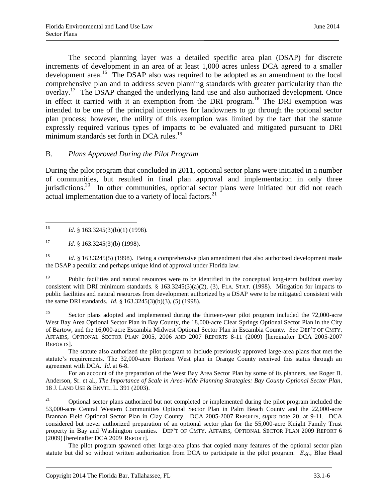The second planning layer was a detailed specific area plan (DSAP) for discrete increments of development in an area of at least 1,000 acres unless DCA agreed to a smaller development area.<sup>16</sup> The DSAP also was required to be adopted as an amendment to the local comprehensive plan and to address seven planning standards with greater particularity than the overlay.<sup>17</sup> The DSAP changed the underlying land use and also authorized development. Once in effect it carried with it an exemption from the DRI program.<sup>18</sup> The DRI exemption was intended to be one of the principal incentives for landowners to go through the optional sector plan process; however, the utility of this exemption was limited by the fact that the statute expressly required various types of impacts to be evaluated and mitigated pursuant to DRI minimum standards set forth in DCA rules.<sup>19</sup>

#### B. *Plans Approved During the Pilot Program*

During the pilot program that concluded in 2011, optional sector plans were initiated in a number of communities, but resulted in final plan approval and implementation in only three jurisdictions.<sup>20</sup> In other communities, optional sector plans were initiated but did not reach actual implementation due to a variety of local factors.<sup>21</sup>

<sup>18</sup> *Id.* § 163.3245(5) (1998). Being a comprehensive plan amendment that also authorized development made the DSAP a peculiar and perhaps unique kind of approval under Florida law.

<sup>19</sup> Public facilities and natural resources were to be identified in the conceptual long-term buildout overlay consistent with DRI minimum standards.  $\S$  163.3245(3)(a)(2), (3), FLA. STAT. (1998). Mitigation for impacts to public facilities and natural resources from development authorized by a DSAP were to be mitigated consistent with the same DRI standards. *Id*. § 163.3245(3)(b)(3), (5) (1998).

<sup>20</sup> Sector plans adopted and implemented during the thirteen-year pilot program included the 72,000-acre West Bay Area Optional Sector Plan in Bay County, the 18,000-acre Clear Springs Optional Sector Plan in the City of Bartow, and the 16,000-acre Escambia Midwest Optional Sector Plan in Escambia County. *See* DEP'T OF CMTY. AFFAIRS, OPTIONAL SECTOR PLAN 2005, 2006 AND 2007 REPORTS 8-11 (2009) [hereinafter DCA 2005-2007 REPORTS].

The statute also authorized the pilot program to include previously approved large-area plans that met the statute's requirements. The 32,000-acre Horizon West plan in Orange County received this status through an agreement with DCA. *Id.* at 6-8.

For an account of the preparation of the West Bay Area Sector Plan by some of its planners, *see* Roger B. Anderson, Sr. et al., *The Importance of Scale in Area-Wide Planning Strategies: Bay County Optional Sector Plan*, 18 J. LAND USE & ENVTL. L. 391 (2003).

 $21$  Optional sector plans authorized but not completed or implemented during the pilot program included the 53,000-acre Central Western Communities Optional Sector Plan in Palm Beach County and the 22,000-acre Brannan Field Optional Sector Plan in Clay County. DCA 2005-2007 REPORTS, *supra* note 20, at 9-11. DCA considered but never authorized preparation of an optional sector plan for the 55,000-acre Knight Family Trust property in Bay and Washington counties. DEP'T OF CMTY. AFFAIRS, OPTIONAL SECTOR PLAN 2009 REPORT 6 (2009) [hereinafter DCA 2009 REPORT].

The pilot program spawned other large-area plans that copied many features of the optional sector plan statute but did so without written authorization from DCA to participate in the pilot program. *E.g.,* Blue Head

 $16\,$ Id. § 163.3245(3)(b)(1) (1998).

<sup>&</sup>lt;sup>17</sup> *Id.* § 163.3245(3)(b) (1998).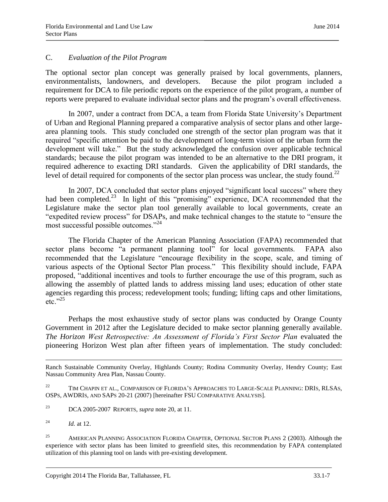#### C. *Evaluation of the Pilot Program*

The optional sector plan concept was generally praised by local governments, planners, environmentalists, landowners, and developers. Because the pilot program included a requirement for DCA to file periodic reports on the experience of the pilot program, a number of reports were prepared to evaluate individual sector plans and the program's overall effectiveness.

In 2007, under a contract from DCA, a team from Florida State University's Department of Urban and Regional Planning prepared a comparative analysis of sector plans and other largearea planning tools. This study concluded one strength of the sector plan program was that it required "specific attention be paid to the development of long-term vision of the urban form the development will take." But the study acknowledged the confusion over applicable technical standards; because the pilot program was intended to be an alternative to the DRI program, it required adherence to exacting DRI standards. Given the applicability of DRI standards, the level of detail required for components of the sector plan process was unclear, the study found.<sup>22</sup>

In 2007, DCA concluded that sector plans enjoyed "significant local success" where they had been completed.<sup>23</sup> In light of this "promising" experience, DCA recommended that the Legislature make the sector plan tool generally available to local governments, create an "expedited review process" for DSAPs, and make technical changes to the statute to "ensure the most successful possible outcomes."<sup>24</sup>

The Florida Chapter of the American Planning Association (FAPA) recommended that sector plans become "a permanent planning tool" for local governments. FAPA also recommended that the Legislature "encourage flexibility in the scope, scale, and timing of various aspects of the Optional Sector Plan process." This flexibility should include, FAPA proposed, "additional incentives and tools to further encourage the use of this program, such as allowing the assembly of platted lands to address missing land uses; education of other state agencies regarding this process; redevelopment tools; funding; lifting caps and other limitations,  $etc.$ <sup>"25</sup>

Perhaps the most exhaustive study of sector plans was conducted by Orange County Government in 2012 after the Legislature decided to make sector planning generally available. *The Horizon West Retrospective: An Assessment of Florida's First Sector Plan* evaluated the pioneering Horizon West plan after fifteen years of implementation. The study concluded:

- <sup>23</sup> DCA 2005-2007 REPORTS, *supra* note 20, at 11.
- 24 *Id.* at 12.

 $\overline{a}$ 

<sup>25</sup> AMERICAN PLANNING ASSOCIATION FLORIDA CHAPTER, OPTIONAL SECTOR PLANS 2 (2003). Although the experience with sector plans has been limited to greenfield sites, this recommendation by FAPA contemplated utilization of this planning tool on lands with pre-existing development.

Ranch Sustainable Community Overlay, Highlands County; Rodina Community Overlay, Hendry County; East Nassau Community Area Plan, Nassau County.

<sup>&</sup>lt;sup>22</sup> TIM CHAPIN ET AL., COMPARISON OF FLORIDA'S APPROACHES TO LARGE-SCALE PLANNING: DRIS, RLSAS, OSPS, AWDRIS, AND SAPS 20-21 (2007) [hereinafter FSU COMPARATIVE ANALYSIS].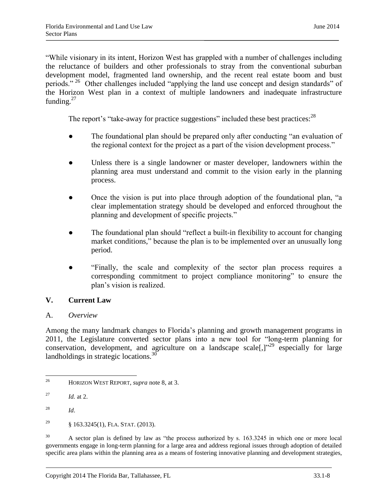"While visionary in its intent, Horizon West has grappled with a number of challenges including the reluctance of builders and other professionals to stray from the conventional suburban development model, fragmented land ownership, and the recent real estate boom and bust periods." <sup>26</sup> Other challenges included "applying the land use concept and design standards" of the Horizon West plan in a context of multiple landowners and inadequate infrastructure funding. $27$ 

The report's "take-away for practice suggestions" included these best practices:<sup>28</sup>

- The foundational plan should be prepared only after conducting "an evaluation of the regional context for the project as a part of the vision development process."
- Unless there is a single landowner or master developer, landowners within the planning area must understand and commit to the vision early in the planning process.
- Once the vision is put into place through adoption of the foundational plan, "a clear implementation strategy should be developed and enforced throughout the planning and development of specific projects."
- The foundational plan should "reflect a built-in flexibility to account for changing market conditions," because the plan is to be implemented over an unusually long period.
- "Finally, the scale and complexity of the sector plan process requires a corresponding commitment to project compliance monitoring" to ensure the plan's vision is realized.

### **V. Current Law**

#### A. *Overview*

Among the many landmark changes to Florida's planning and growth management programs in 2011, the Legislature converted sector plans into a new tool for "long-term planning for conservation, development, and agriculture on a landscape scale[,]"<sup>29</sup> especially for large landholdings in strategic locations. $^{30}$ 

<sup>29</sup> § 163.3245(1), FLA. STAT. (2013).

<sup>30</sup> A sector plan is defined by law as "the process authorized by s. 163.3245 in which one or more local governments engage in long-term planning for a large area and address regional issues through adoption of detailed specific area plans within the planning area as a means of fostering innovative planning and development strategies,

 $26\overline{)}$ <sup>26</sup> HORIZON WEST REPORT, *supra* note 8, at 3.

<sup>27</sup> *Id.* at 2.

<sup>28</sup> *Id*.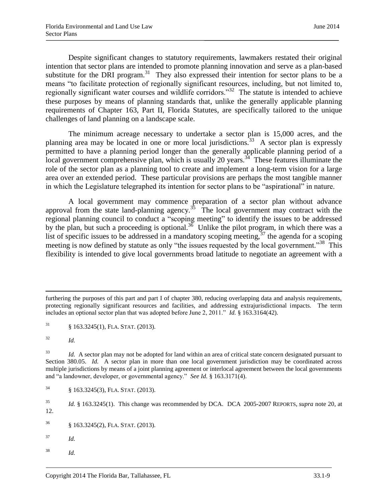Despite significant changes to statutory requirements, lawmakers restated their original intention that sector plans are intended to promote planning innovation and serve as a plan-based substitute for the DRI program.<sup>31</sup> They also expressed their intention for sector plans to be a means "to facilitate protection of regionally significant resources, including, but not limited to, regionally significant water courses and wildlife corridors."<sup>32</sup> The statute is intended to achieve these purposes by means of planning standards that, unlike the generally applicable planning requirements of Chapter 163, Part II, Florida Statutes, are specifically tailored to the unique challenges of land planning on a landscape scale.

The minimum acreage necessary to undertake a sector plan is 15,000 acres, and the planning area may be located in one or more local jurisdictions.<sup>33</sup> A sector plan is expressly permitted to have a planning period longer than the generally applicable planning period of a local government comprehensive plan, which is usually 20 years.<sup> $34$ </sup> These features illuminate the role of the sector plan as a planning tool to create and implement a long-term vision for a large area over an extended period. These particular provisions are perhaps the most tangible manner in which the Legislature telegraphed its intention for sector plans to be "aspirational" in nature.

A local government may commence preparation of a sector plan without advance approval from the state land-planning agency.<sup>35</sup> The local government may contract with the regional planning council to conduct a "scoping meeting" to identify the issues to be addressed by the plan, but such a proceeding is optional.<sup>36</sup> Unlike the pilot program, in which there was a list of specific issues to be addressed in a mandatory scoping meeting,  $37$  the agenda for a scoping meeting is now defined by statute as only "the issues requested by the local government."<sup>38</sup> This flexibility is intended to give local governments broad latitude to negotiate an agreement with a

 $\overline{\phantom{a}}$ 

- <sup>37</sup> *Id.*
- <sup>38</sup> *Id.*

furthering the purposes of this part and part I of chapter 380, reducing overlapping data and analysis requirements, protecting regionally significant resources and facilities, and addressing extrajurisdictional impacts. The term includes an optional sector plan that was adopted before June 2, 2011." *Id.* § 163.3164(42).

 $\frac{31}{9}$  § 163.3245(1), FLA. STAT. (2013).

<sup>32</sup> *Id.*

<sup>&</sup>lt;sup>33</sup> *Id.* A sector plan may not be adopted for land within an area of critical state concern designated pursuant to Section 380.05. *Id.* A sector plan in more than one local government jurisdiction may be coordinated across multiple jurisdictions by means of a joint planning agreement or interlocal agreement between the local governments and "a landowner, developer, or governmental agency." *See Id.* § 163.3171(4).

<sup>34</sup> § 163.3245(3), FLA. STAT. (2013).

<sup>35</sup> *Id.* § 163.3245(1). This change was recommended by DCA. DCA 2005-2007 REPORTS, *supra* note 20*,* at 12.

<sup>36</sup> § 163.3245(2), FLA. STAT. (2013).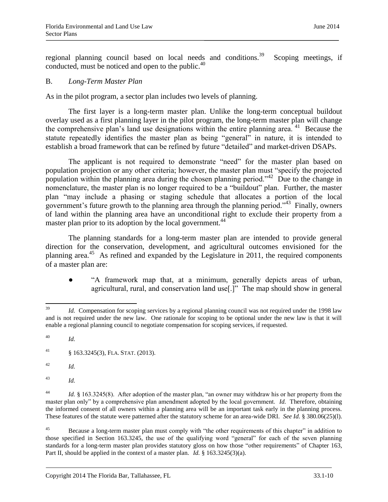regional planning council based on local needs and conditions.<sup>39</sup> Scoping meetings, if conducted, must be noticed and open to the public.<sup>40</sup>

#### B. *Long-Term Master Plan*

As in the pilot program, a sector plan includes two levels of planning.

The first layer is a long-term master plan. Unlike the long-term conceptual buildout overlay used as a first planning layer in the pilot program, the long-term master plan will change the comprehensive plan's land use designations within the entire planning area.<sup>41</sup> Because the statute repeatedly identifies the master plan as being "general" in nature, it is intended to establish a broad framework that can be refined by future "detailed" and market-driven DSAPs.

The applicant is not required to demonstrate "need" for the master plan based on population projection or any other criteria; however, the master plan must "specify the projected population within the planning area during the chosen planning period."<sup>42</sup> Due to the change in nomenclature, the master plan is no longer required to be a "buildout" plan. Further, the master plan "may include a phasing or staging schedule that allocates a portion of the local government's future growth to the planning area through the planning period."<sup>43</sup> Finally, owners of land within the planning area have an unconditional right to exclude their property from a master plan prior to its adoption by the local government.<sup>44</sup>

The planning standards for a long-term master plan are intended to provide general direction for the conservation, development, and agricultural outcomes envisioned for the planning area.<sup>45</sup> As refined and expanded by the Legislature in 2011, the required components of a master plan are:

"A framework map that, at a minimum, generally depicts areas of urban, agricultural, rural, and conservation land use[.]" The map should show in general

- <sup>42</sup> *Id.*
- <sup>43</sup> *Id.*

<sup>39</sup> Id. Compensation for scoping services by a regional planning council was not required under the 1998 law and is not required under the new law. One rationale for scoping to be optional under the new law is that it will enable a regional planning council to negotiate compensation for scoping services, if requested.

<sup>40</sup> *Id.*

<sup>&</sup>lt;sup>41</sup> § 163.3245(3), FLA. STAT. (2013).

<sup>&</sup>lt;sup>44</sup> *Id.* § 163.3245(8). After adoption of the master plan, "an owner may withdraw his or her property from the master plan only" by a comprehensive plan amendment adopted by the local government. *Id.* Therefore, obtaining the informed consent of all owners within a planning area will be an important task early in the planning process. These features of the statute were patterned after the statutory scheme for an area-wide DRI. *See Id.* § 380.06(25)(l).

 $45$ <sup>45</sup> Because a long-term master plan must comply with "the other requirements of this chapter" in addition to those specified in Section 163.3245, the use of the qualifying word "general" for each of the seven planning standards for a long-term master plan provides statutory gloss on how those "other requirements" of Chapter 163, Part II, should be applied in the context of a master plan*. Id.* § 163.3245(3)(a).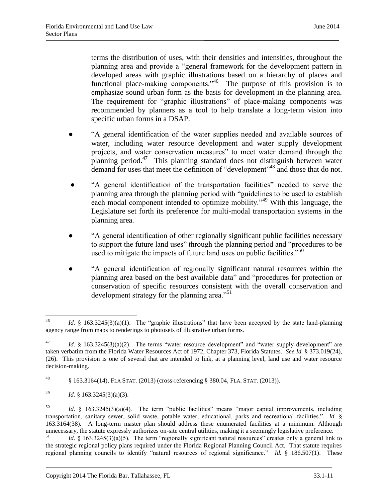terms the distribution of uses, with their densities and intensities, throughout the planning area and provide a "general framework for the development pattern in developed areas with graphic illustrations based on a hierarchy of places and functional place-making components.<sup>46</sup> The purpose of this provision is to emphasize sound urban form as the basis for development in the planning area. The requirement for "graphic illustrations" of place-making components was recommended by planners as a tool to help translate a long-term vision into specific urban forms in a DSAP.

- "A general identification of the water supplies needed and available sources of water, including water resource development and water supply development projects, and water conservation measures" to meet water demand through the planning period.<sup>47</sup> This planning standard does not distinguish between water demand for uses that meet the definition of "development"<sup>48</sup> and those that do not.
- "A general identification of the transportation facilities" needed to serve the planning area through the planning period with "guidelines to be used to establish each modal component intended to optimize mobility."<sup>49</sup> With this language, the Legislature set forth its preference for multi-modal transportation systems in the planning area.
- "A general identification of other regionally significant public facilities necessary to support the future land uses" through the planning period and "procedures to be used to mitigate the impacts of future land uses on public facilities."<sup>50</sup>
- "A general identification of regionally significant natural resources within the planning area based on the best available data" and "procedures for protection or conservation of specific resources consistent with the overall conservation and development strategy for the planning area.<sup>51</sup>

 $46\text{ }$ Id. § 163.3245(3)(a)(1). The "graphic illustrations" that have been accepted by the state land-planning agency range from maps to renderings to photosets of illustrative urban forms.

<sup>&</sup>lt;sup>47</sup> *Id.* § 163.3245(3)(a)(2). The terms "water resource development" and "water supply development" are taken verbatim from the Florida Water Resources Act of 1972, Chapter 373, Florida Statutes. *See Id.* § 373.019(24), (26). This provision is one of several that are intended to link, at a planning level, land use and water resource decision-making.

<sup>48</sup> § 163.3164(14), FLA STAT. (2013) (cross-referencing § 380.04, FLA. STAT. (2013)).

<sup>49</sup> *Id.* § 163.3245(3)(a)(3).

<sup>50</sup> *Id.* § 163.3245(3)(a)(4). The term "public facilities" means "major capital improvements, including transportation, sanitary sewer, solid waste, potable water, educational, parks and recreational facilities." *Id.* § 163.3164(38). A long-term master plan should address these enumerated facilities at a minimum. Although unnecessary, the statute expressly authorizes on-site central utilities, making it a seemingly legislative preference.

Id. § 163.3245(3)(a)(5). The term "regionally significant natural resources" creates only a general link to the strategic regional policy plans required under the Florida Regional Planning Council Act. That statute requires regional planning councils to identify "natural resources of regional significance." *Id.* § 186.507(1). These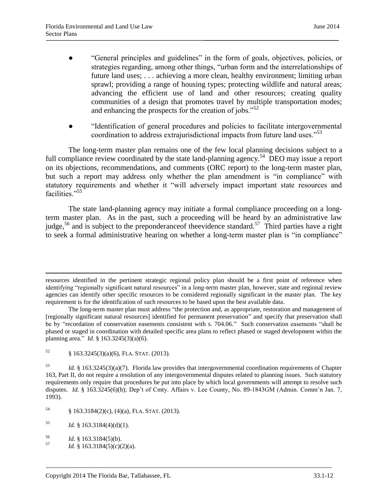- "General principles and guidelines" in the form of goals, objectives, policies, or strategies regarding, among other things, "urban form and the interrelationships of future land uses; . . . achieving a more clean, healthy environment; limiting urban sprawl; providing a range of housing types; protecting wildlife and natural areas; advancing the efficient use of land and other resources; creating quality communities of a design that promotes travel by multiple transportation modes; and enhancing the prospects for the creation of jobs."<sup>52</sup>
- "Identification of general procedures and policies to facilitate intergovernmental coordination to address extrajurisdictional impacts from future land uses."<sup>53</sup>

The long-term master plan remains one of the few local planning decisions subject to a full compliance review coordinated by the state land-planning agency.<sup>54</sup> DEO may issue a report on its objections, recommendations, and comments (ORC report) to the long-term master plan, but such a report may address only whether the plan amendment is "in compliance" with statutory requirements and whether it "will adversely impact important state resources and facilities."<sup>55</sup>

The state land-planning agency may initiate a formal compliance proceeding on a longterm master plan. As in the past, such a proceeding will be heard by an administrative law judge,<sup>56</sup> and is subject to the preponderance of the evidence standard.<sup>57</sup> Third parties have a right to seek a formal administrative hearing on whether a long-term master plan is "in compliance"

 $\overline{\phantom{a}}$ 

resources identified in the pertinent strategic regional policy plan should be a first point of reference when identifying "regionally significant natural resources" in a long-term master plan, however, state and regional review agencies can identify other specific resources to be considered regionally significant in the master plan. The key requirement is for the identification of such resources to be based upon the best available data.

The long-term master plan must address "the protection and, as appropriate, restoration and management of [regionally significant natural resources] identified for permanent preservation" and specify that preservation shall be by "recordation of conservation easements consistent with s. 704.06." Such conservation easements "shall be phased or staged in coordination with detailed specific area plans to reflect phased or staged development within the planning area." *Id.* § 163.3245(3)(a)(6).

 $52 \qquad \frac{\$}{163.3245(3)(a)(6)}$ , FLA. STAT. (2013).

<sup>53</sup> *Id.* § 163.3245(3)(a)(7). Florida law provides that intergovernmental coordination requirements of Chapter 163, Part II, do not require a resolution of any intergovernmental disputes related to planning issues. Such statutory requirements only require that procedures be put into place by which local governments will attempt to resolve such disputes. *Id.* § 163.3245(6)(h); Dep't of Cmty. Affairs v. Lee County, No. 89-1843GM (Admin. Comm'n Jan. 7, 1993).

 $54$  § 163.3184(2)(c), (4)(a), FLA. STAT. (2013).

 $1d. \S$  163.3184(4)(d)(1).

 $\frac{56}{57}$  *Id.* § 163.3184(5)(b).

*Id.* § 163.3184(5)(c)(2)(a).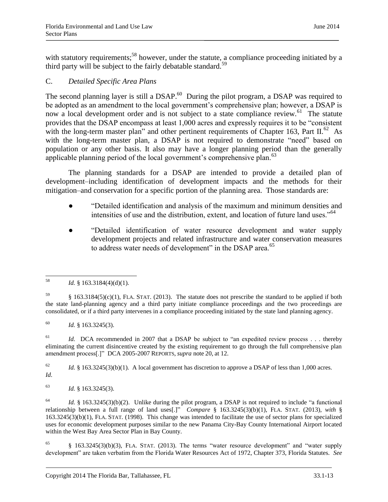with statutory requirements;<sup>58</sup> however, under the statute, a compliance proceeding initiated by a third party will be subject to the fairly debatable standard.<sup>59</sup>

# C. *Detailed Specific Area Plans*

The second planning layer is still a DSAP.<sup>60</sup> During the pilot program, a DSAP was required to be adopted as an amendment to the local government's comprehensive plan; however, a DSAP is now a local development order and is not subject to a state compliance review.<sup>61</sup> The statute provides that the DSAP encompass at least 1,000 acres and expressly requires it to be "consistent with the long-term master plan" and other pertinent requirements of Chapter 163, Part II.<sup>62</sup> As with the long-term master plan, a DSAP is not required to demonstrate "need" based on population or any other basis. It also may have a longer planning period than the generally applicable planning period of the local government's comprehensive plan.<sup>63</sup>

The planning standards for a DSAP are intended to provide a detailed plan of development–including identification of development impacts and the methods for their mitigation–and conservation for a specific portion of the planning area. Those standards are:

- "Detailed identification and analysis of the maximum and minimum densities and intensities of use and the distribution, extent, and location of future land uses."<sup>64</sup>
- "Detailed identification of water resource development and water supply development projects and related infrastructure and water conservation measures to address water needs of development" in the DSAP area.<sup>65</sup>

<sup>61</sup> *Id.* DCA recommended in 2007 that a DSAP be subject to "an expedited review process . . . thereby eliminating the current disincentive created by the existing requirement to go through the full comprehensive plan amendment process[.]" DCA 2005-2007 REPORTS, *supra* note 20, at 12.

<sup>62</sup> *Id.* § 163.3245(3)(b)(1). A local government has discretion to approve a DSAP of less than 1,000 acres. *Id.*

<sup>63</sup> *Id.* § 163.3245(3).

<sup>64</sup> *Id.* § 163.3245(3)(b)(2). Unlike during the pilot program, a DSAP is not required to include "a functional relationship between a full range of land uses[.]" *Compare* § 163.3245(3)(b)(1), FLA. STAT. (2013), *with* § 163.3245(3)(b)(1), FLA. STAT. (1998). This change was intended to facilitate the use of sector plans for specialized uses for economic development purposes similar to the new Panama City-Bay County International Airport located within the West Bay Area Sector Plan in Bay County.

<sup>65</sup> § 163.3245(3)(b)(3), FLA. STAT. (2013). The terms "water resource development" and "water supply development" are taken verbatim from the Florida Water Resources Act of 1972, Chapter 373, Florida Statutes. *See*

<sup>58</sup> *Id.* § 163.3184(4)(d)(1).

 $\frac{59}{9}$  § 163.3184(5)(c)(1), FLA. STAT. (2013). The statute does not prescribe the standard to be applied if both the state land-planning agency and a third party initiate compliance proceedings and the two proceedings are consolidated, or if a third party intervenes in a compliance proceeding initiated by the state land planning agency.

<sup>60</sup> *Id.* § 163.3245(3).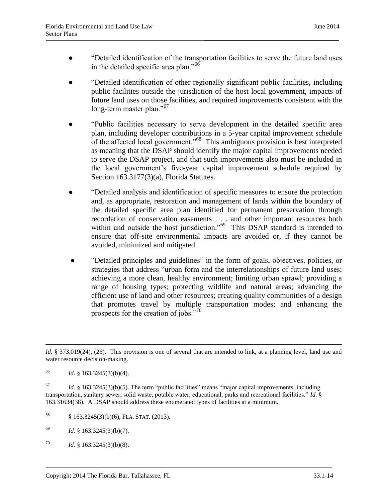- "Detailed identification of the transportation facilities to serve the future land uses in the detailed specific area plan."<sup>66</sup>
- "Detailed identification of other regionally significant public facilities, including public facilities outside the jurisdiction of the host local government, impacts of future land uses on those facilities, and required improvements consistent with the long-term master plan."<sup>67</sup>
- "Public facilities necessary to serve development in the detailed specific area plan, including developer contributions in a 5-year capital improvement schedule of the affected local government."<sup>68</sup> This ambiguous provision is best interpreted as meaning that the DSAP should identify the major capital improvements needed to serve the DSAP project, and that such improvements also must be included in the local government's five-year capital improvement schedule required by Section 163.3177(3)(a), Florida Statutes.
- "Detailed analysis and identification of specific measures to ensure the protection and, as appropriate, restoration and management of lands within the boundary of the detailed specific area plan identified for permanent preservation through recordation of conservation easements . . . and other important resources both within and outside the host jurisdiction."<sup>69</sup> This DSAP standard is intended to ensure that off-site environmental impacts are avoided or, if they cannot be avoided, minimized and mitigated.
- "Detailed principles and guidelines" in the form of goals, objectives, policies, or strategies that address "urban form and the interrelationships of future land uses; achieving a more clean, healthy environment; limiting urban sprawl; providing a range of housing types; protecting wildlife and natural areas; advancing the efficient use of land and other resources; creating quality communities of a design that promotes travel by multiple transportation modes; and enhancing the prospects for the creation of jobs."<sup>70</sup>

<sup>66</sup> *Id.* § 163.3245(3)(b)(4).

 $\overline{a}$ 

- $68$  § 163.3245(3)(b)(6), FLA. STAT. (2013).
- $1d. \S$  163.3245(3)(b)(7).
- $Id. \S$  163.3245(3)(b)(8).

*Id.* § 373.019(24), (26). This provision is one of several that are intended to link, at a planning level, land use and water resource decision-making.

 $Id. \S$  163.3245(3)(b)(5). The term "public facilities" means "major capital improvements, including transportation, sanitary sewer, solid waste, potable water, educational, parks and recreational facilities." *Id.* § 163.31634(38). A DSAP should address these enumerated types of facilities at a minimum.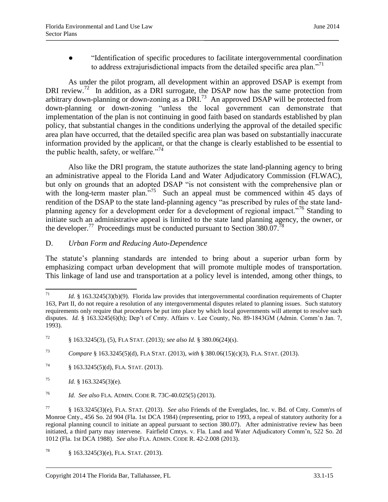"Identification of specific procedures to facilitate intergovernmental coordination to address extrajurisdictional impacts from the detailed specific area plan."<sup>71</sup>

As under the pilot program, all development within an approved DSAP is exempt from DRI review.<sup>72</sup> In addition, as a DRI surrogate, the DSAP now has the same protection from arbitrary down-planning or down-zoning as a DRI.<sup>73</sup> An approved DSAP will be protected from down-planning or down-zoning "unless the local government can demonstrate that implementation of the plan is not continuing in good faith based on standards established by plan policy, that substantial changes in the conditions underlying the approval of the detailed specific area plan have occurred, that the detailed specific area plan was based on substantially inaccurate information provided by the applicant, or that the change is clearly established to be essential to the public health, safety, or welfare."<sup>74</sup>

Also like the DRI program, the statute authorizes the state land-planning agency to bring an administrative appeal to the Florida Land and Water Adjudicatory Commission (FLWAC), but only on grounds that an adopted DSAP "is not consistent with the comprehensive plan or with the long-term master plan."<sup>75</sup> Such an appeal must be commenced within 45 days of rendition of the DSAP to the state land-planning agency "as prescribed by rules of the state landplanning agency for a development order for a development of regional impact."<sup>76</sup> Standing to initiate such an administrative appeal is limited to the state land planning agency, the owner, or the developer.<sup>77</sup> Proceedings must be conducted pursuant to Section 380.07.<sup>78</sup>

#### D. *Urban Form and Reducing Auto-Dependence*

The statute's planning standards are intended to bring about a superior urban form by emphasizing compact urban development that will promote multiple modes of transportation. This linkage of land use and transportation at a policy level is intended, among other things, to

<sup>71</sup> Id. § 163.3245(3)(b)(9). Florida law provides that intergovernmental coordination requirements of Chapter 163, Part II, do not require a resolution of any intergovernmental disputes related to planning issues. Such statutory requirements only require that procedures be put into place by which local governments will attempt to resolve such disputes. *Id.* § 163.3245(6)(h); Dep't of Cmty. Affairs v. Lee County, No. 89-1843GM (Admin. Comm'n Jan. 7, 1993).

<sup>72</sup> § 163.3245(3), (5), FLA STAT. (2013)*; see also Id.* § 380.06(24)(s).

<sup>73</sup> *Compare* § 163.3245(5)(d), FLA STAT. (2013), *with* § 380.06(15)(c)(3), FLA. STAT. (2013).

<sup>74</sup> § 163.3245(5)(d), FLA. STAT. (2013).

 $163.3245(3)(e)$ .

<sup>76</sup> *Id. See also* FLA. ADMIN. CODE R. 73C-40.025(5) (2013).

<sup>77</sup> § 163.3245(3)(e), FLA. STAT. (2013). *See also* Friends of the Everglades, Inc. v. Bd. of Cnty. Comm'rs of Monroe Cnty., 456 So. 2d 904 (Fla. 1st DCA 1984) (representing, prior to 1993, a repeal of statutory authority for a regional planning council to initiate an appeal pursuant to section 380.07). After administrative review has been initiated, a third party may intervene. Fairfield Cmtys. v. Fla. Land and Water Adjudicatory Comm'n*,* 522 So. 2d 1012 (Fla. 1st DCA 1988). *See also* FLA. ADMIN. CODE R. 42-2.008 (2013).

<sup>&</sup>lt;sup>78</sup> § 163.3245(3)(e), FLA. STAT. (2013).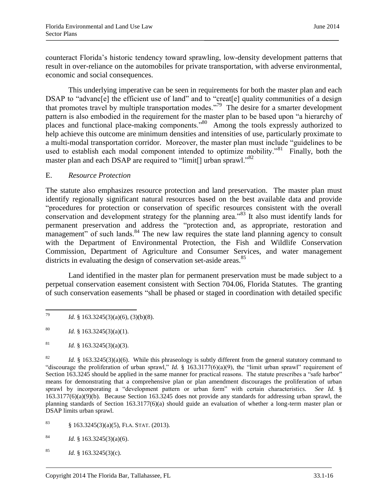counteract Florida's historic tendency toward sprawling, low-density development patterns that result in over-reliance on the automobiles for private transportation, with adverse environmental, economic and social consequences.

This underlying imperative can be seen in requirements for both the master plan and each DSAP to "advanc<sup>[e]</sup> the efficient use of land" and to "creat<sup>[e]</sup> quality communities of a design that promotes travel by multiple transportation modes."<sup>79</sup> The desire for a smarter development pattern is also embodied in the requirement for the master plan to be based upon "a hierarchy of places and functional place-making components.<sup>80</sup> Among the tools expressly authorized to help achieve this outcome are minimum densities and intensities of use, particularly proximate to a multi-modal transportation corridor. Moreover, the master plan must include "guidelines to be used to establish each modal component intended to optimize mobility."<sup>81</sup> Finally, both the master plan and each DSAP are required to "limit<sup>[]</sup> urban sprawl."<sup>82</sup>

#### E. *Resource Protection*

The statute also emphasizes resource protection and land preservation. The master plan must identify regionally significant natural resources based on the best available data and provide "procedures for protection or conservation of specific resources consistent with the overall conservation and development strategy for the planning area."<sup>83</sup> It also must identify lands for permanent preservation and address the "protection and, as appropriate, restoration and management" of such lands.<sup>84</sup> The new law requires the state land planning agency to consult with the Department of Environmental Protection, the Fish and Wildlife Conservation Commission, Department of Agriculture and Consumer Services, and water management districts in evaluating the design of conservation set-aside areas.<sup>85</sup>

Land identified in the master plan for permanent preservation must be made subject to a perpetual conservation easement consistent with Section 704.06, Florida Statutes. The granting of such conservation easements "shall be phased or staged in coordination with detailed specific

<sup>83</sup> § 163.3245(3)(a)(5), FLA. STAT. (2013).

 $163.3245(3)(a)(6)$ .

<sup>79</sup> *Id.* § 163.3245(3)(a)(6), (3)(b)(8).

<sup>&</sup>lt;sup>80</sup> *Id.* § 163.3245(3)(a)(1).

<sup>&</sup>lt;sup>81</sup> *Id.* § 163.3245(3)(a)(3).

<sup>&</sup>lt;sup>82</sup> *Id.* § 163.3245(3)(a)(6). While this phraseology is subtly different from the general statutory command to "discourage the proliferation of urban sprawl," *Id.* § 163.3177(6)(a)(9), the "limit urban sprawl" requirement of Section 163.3245 should be applied in the same manner for practical reasons. The statute prescribes a "safe harbor" means for demonstrating that a comprehensive plan or plan amendment discourages the proliferation of urban sprawl by incorporating a "development pattern or urban form" with certain characteristics. *See Id.* § 163.3177(6)(a)(9)(b). Because Section 163.3245 does not provide any standards for addressing urban sprawl, the planning standards of Section 163.3177(6)(a) should guide an evaluation of whether a long-term master plan or DSAP limits urban sprawl.

<sup>&</sup>lt;sup>85</sup> *Id.* § 163.3245(3)(c).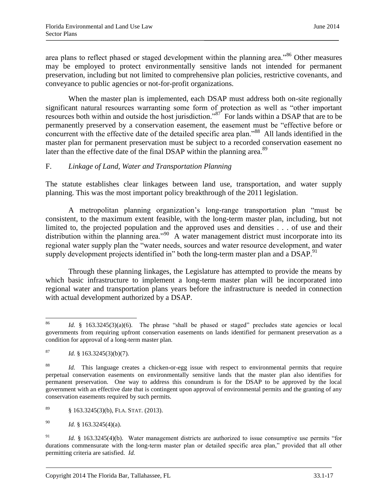area plans to reflect phased or staged development within the planning area."<sup>86</sup> Other measures may be employed to protect environmentally sensitive lands not intended for permanent preservation, including but not limited to comprehensive plan policies, restrictive covenants, and conveyance to public agencies or not-for-profit organizations.

When the master plan is implemented, each DSAP must address both on-site regionally significant natural resources warranting some form of protection as well as "other important resources both within and outside the host jurisdiction."<sup>87</sup> For lands within a DSAP that are to be permanently preserved by a conservation easement, the easement must be "effective before or concurrent with the effective date of the detailed specific area plan."<sup>88</sup> All lands identified in the master plan for permanent preservation must be subject to a recorded conservation easement no later than the effective date of the final DSAP within the planning area.<sup>89</sup>

### F. *Linkage of Land, Water and Transportation Planning*

The statute establishes clear linkages between land use, transportation, and water supply planning. This was the most important policy breakthrough of the 2011 legislation.

A metropolitan planning organization's long-range transportation plan "must be consistent, to the maximum extent feasible, with the long-term master plan, including, but not limited to, the projected population and the approved uses and densities . . . of use and their distribution within the planning area."<sup>90</sup> A water management district must incorporate into its regional water supply plan the "water needs, sources and water resource development, and water supply development projects identified in" both the long-term master plan and a DSAP.<sup>91</sup>

Through these planning linkages, the Legislature has attempted to provide the means by which basic infrastructure to implement a long-term master plan will be incorporated into regional water and transportation plans years before the infrastructure is needed in connection with actual development authorized by a DSAP.

<sup>86</sup> Id. § 163.3245(3)(a)(6). The phrase "shall be phased or staged" precludes state agencies or local governments from requiring upfront conservation easements on lands identified for permanent preservation as a condition for approval of a long-term master plan.

 $^{87}$  *Id.* § 163.3245(3)(b)(7).

<sup>88</sup> *Id.* This language creates a chicken-or-egg issue with respect to environmental permits that require perpetual conservation easements on environmentally sensitive lands that the master plan also identifies for permanent preservation. One way to address this conundrum is for the DSAP to be approved by the local government with an effective date that is contingent upon approval of environmental permits and the granting of any conservation easements required by such permits.

 $\frac{89}{9}$  § 163.3245(3)(b), FLA. STAT. (2013).

<sup>90</sup> *Id.* § 163.3245(4)(a).

<sup>&</sup>lt;sup>91</sup> *Id.* § 163.3245(4)(b). Water management districts are authorized to issue consumptive use permits "for durations commensurate with the long-term master plan or detailed specific area plan," provided that all other permitting criteria are satisfied. *Id.*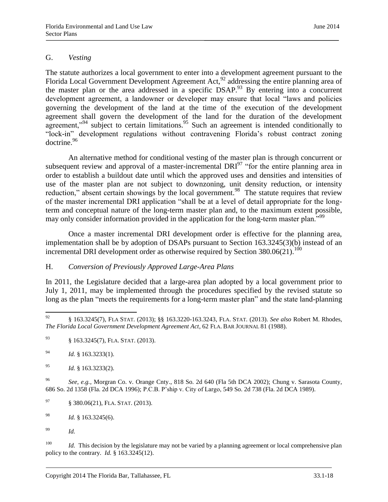#### G. *Vesting*

The statute authorizes a local government to enter into a development agreement pursuant to the Florida Local Government Development Agreement Act,<sup>92</sup> addressing the entire planning area of the master plan or the area addressed in a specific DSAP.<sup>93</sup> By entering into a concurrent development agreement, a landowner or developer may ensure that local "laws and policies governing the development of the land at the time of the execution of the development agreement shall govern the development of the land for the duration of the development agreement,"<sup>94</sup> subject to certain limitations.<sup>95</sup> Such an agreement is intended conditionally to "lock-in" development regulations without contravening Florida's robust contract zoning doctrine.<sup>96</sup>

An alternative method for conditional vesting of the master plan is through concurrent or subsequent review and approval of a master-incremental  $DRI<sup>97</sup>$  "for the entire planning area in order to establish a buildout date until which the approved uses and densities and intensities of use of the master plan are not subject to downzoning, unit density reduction, or intensity reduction," absent certain showings by the local government.<sup>98</sup> The statute requires that review of the master incremental DRI application "shall be at a level of detail appropriate for the longterm and conceptual nature of the long-term master plan and, to the maximum extent possible, may only consider information provided in the application for the long-term master plan."<sup>99</sup>

Once a master incremental DRI development order is effective for the planning area, implementation shall be by adoption of DSAPs pursuant to Section 163.3245(3)(b) instead of an incremental DRI development order as otherwise required by Section  $380.06(21)$ .<sup>100</sup>

#### H. *Conversion of Previously Approved Large-Area Plans*

In 2011, the Legislature decided that a large-area plan adopted by a local government prior to July 1, 2011, may be implemented through the procedures specified by the revised statute so long as the plan "meets the requirements for a long-term master plan" and the state land-planning

<sup>94</sup> *Id.* § 163.3233(1).

<sup>96</sup> *See, e.g.*, Morgran Co. v. Orange Cnty., 818 So. 2d 640 (Fla 5th DCA 2002); Chung v. Sarasota County, 686 So. 2d 1358 (Fla. 2d DCA 1996); P.C.B. P'ship v. City of Largo, 549 So. 2d 738 (Fla. 2d DCA 1989).

<sup>100</sup> *Id.* This decision by the legislature may not be varied by a planning agreement or local comprehensive plan policy to the contrary. *Id.* § 163.3245(12).

<sup>92</sup> <sup>92</sup> § 163.3245(7), FLA STAT. (2013); §§ 163.3220-163.3243, FLA. STAT. (2013). *See also* Robert M. Rhodes, *The Florida Local Government Development Agreement Act*, 62 FLA. BAR JOURNAL 81 (1988).

<sup>93</sup> § 163.3245(7), FLA. STAT. (2013).

<sup>95</sup> *Id.* § 163.3233(2).

<sup>97</sup> § 380.06(21), FLA. STAT. (2013).

<sup>98</sup> *Id.* § 163.3245(6).

<sup>99</sup> *Id.*